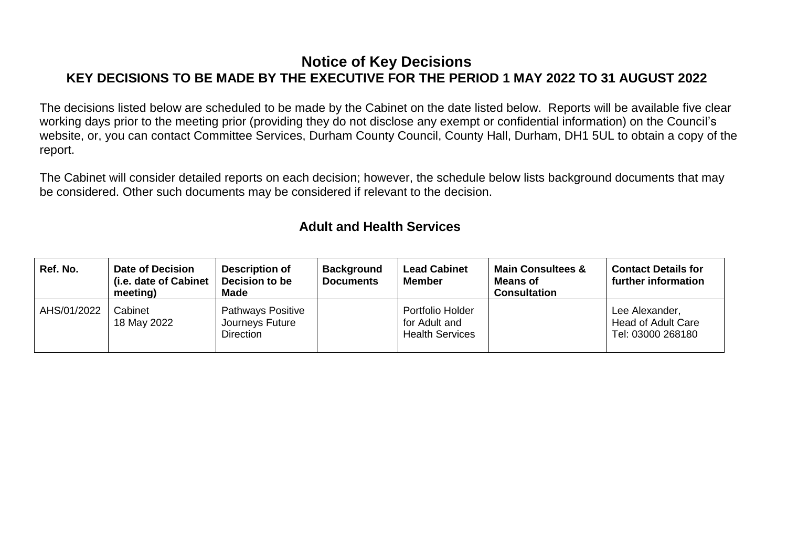#### **Notice of Key Decisions KEY DECISIONS TO BE MADE BY THE EXECUTIVE FOR THE PERIOD 1 MAY 2022 TO 31 AUGUST 2022**

The decisions listed below are scheduled to be made by the Cabinet on the date listed below. Reports will be available five clear working days prior to the meeting prior (providing they do not disclose any exempt or confidential information) on the Council's website, or, you can contact Committee Services, Durham County Council, County Hall, Durham, DH1 5UL to obtain a copy of the report.

The Cabinet will consider detailed reports on each decision; however, the schedule below lists background documents that may be considered. Other such documents may be considered if relevant to the decision.

#### **Adult and Health Services**

| Ref. No.    | <b>Date of Decision</b><br>(i.e. date of Cabinet<br>meeting) | <b>Description of</b><br>Decision to be<br>Made                 | <b>Background</b><br><b>Documents</b> | <b>Lead Cabinet</b><br><b>Member</b>                        | <b>Main Consultees &amp;</b><br><b>Means of</b><br><b>Consultation</b> | <b>Contact Details for</b><br>further information                |
|-------------|--------------------------------------------------------------|-----------------------------------------------------------------|---------------------------------------|-------------------------------------------------------------|------------------------------------------------------------------------|------------------------------------------------------------------|
| AHS/01/2022 | Cabinet<br>18 May 2022                                       | <b>Pathways Positive</b><br>Journeys Future<br><b>Direction</b> |                                       | Portfolio Holder<br>for Adult and<br><b>Health Services</b> |                                                                        | Lee Alexander,<br><b>Head of Adult Care</b><br>Tel: 03000 268180 |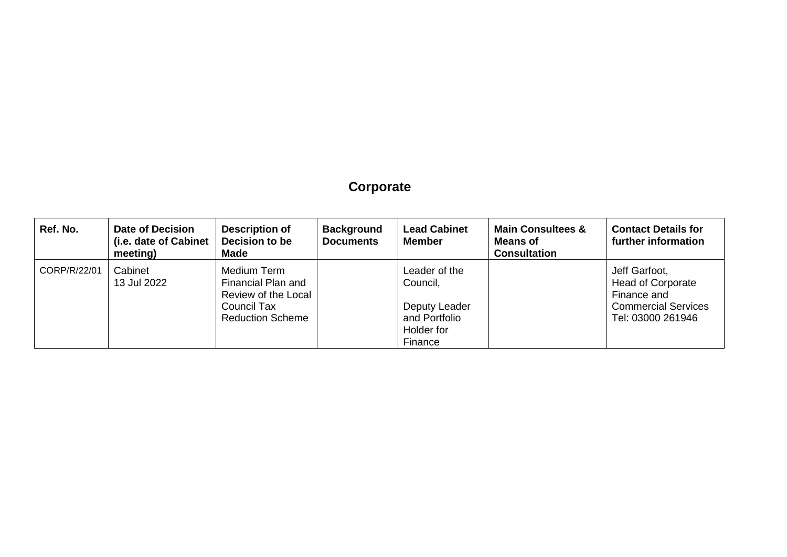## **Corporate**

| Ref. No.     | <b>Date of Decision</b><br>(i.e. date of Cabinet<br>meeting) | <b>Description of</b><br>Decision to be<br>Made                                                    | <b>Background</b><br><b>Documents</b> | <b>Lead Cabinet</b><br><b>Member</b>                                                 | <b>Main Consultees &amp;</b><br><b>Means of</b><br><b>Consultation</b> | <b>Contact Details for</b><br>further information                                                           |
|--------------|--------------------------------------------------------------|----------------------------------------------------------------------------------------------------|---------------------------------------|--------------------------------------------------------------------------------------|------------------------------------------------------------------------|-------------------------------------------------------------------------------------------------------------|
| CORP/R/22/01 | Cabinet<br>13 Jul 2022                                       | Medium Term<br>Financial Plan and<br>Review of the Local<br>Council Tax<br><b>Reduction Scheme</b> |                                       | Leader of the<br>Council,<br>Deputy Leader<br>and Portfolio<br>Holder for<br>Finance |                                                                        | Jeff Garfoot,<br><b>Head of Corporate</b><br>Finance and<br><b>Commercial Services</b><br>Tel: 03000 261946 |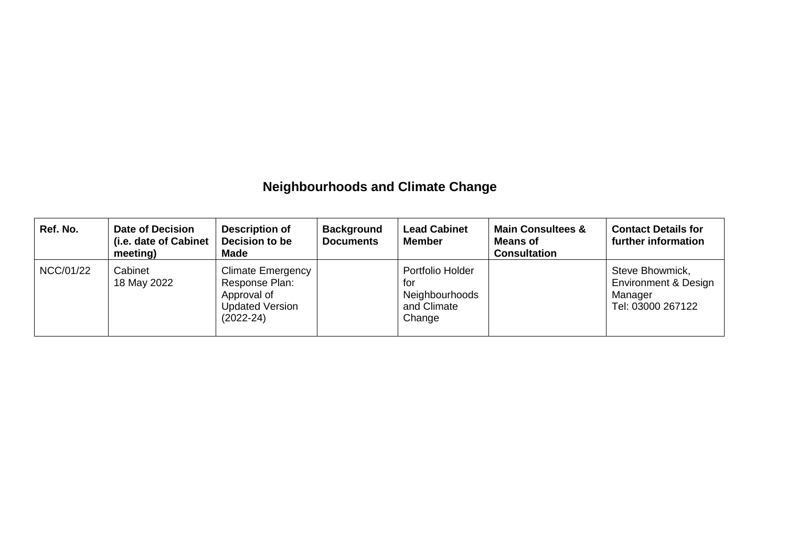## **Neighbourhoods and Climate Change**

| Ref. No.  | <b>Date of Decision</b><br>(i.e. date of Cabinet<br>meeting) | <b>Description of</b><br>Decision to be<br>Made                                                      | <b>Background</b><br><b>Documents</b> | <b>Lead Cabinet</b><br><b>Member</b>                               | <b>Main Consultees &amp;</b><br><b>Means of</b><br><b>Consultation</b> | <b>Contact Details for</b><br>further information                                  |
|-----------|--------------------------------------------------------------|------------------------------------------------------------------------------------------------------|---------------------------------------|--------------------------------------------------------------------|------------------------------------------------------------------------|------------------------------------------------------------------------------------|
| NCC/01/22 | Cabinet<br>18 May 2022                                       | <b>Climate Emergency</b><br>Response Plan:<br>Approval of<br><b>Updated Version</b><br>$(2022 - 24)$ |                                       | Portfolio Holder<br>for<br>Neighbourhoods<br>and Climate<br>Change |                                                                        | Steve Bhowmick,<br><b>Environment &amp; Design</b><br>Manager<br>Tel: 03000 267122 |